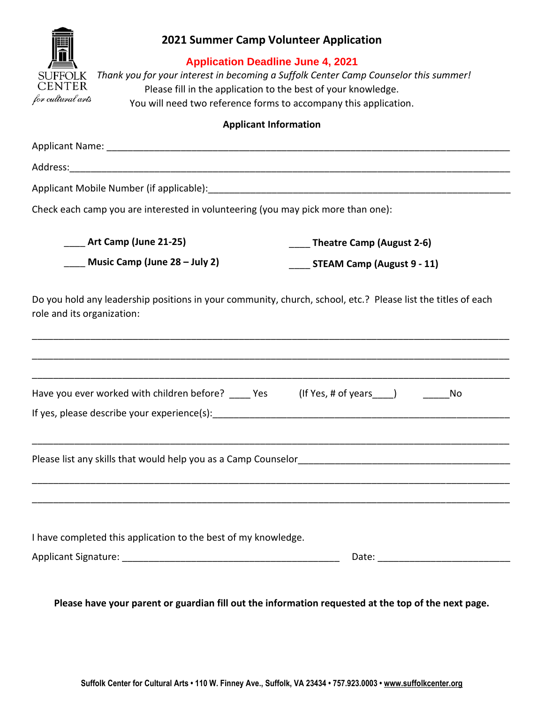

## **2021 Summer Camp Volunteer Application**

### **Application Deadline June 4, 2021**

 *Thank you for your interest in becoming a Suffolk Center Camp Counselor this summer!* Please fill in the application to the best of your knowledge. You will need two reference forms to accompany this application.

#### **Applicant Information**

| Check each camp you are interested in volunteering (you may pick more than one):                                                           |                                                                                                                                                                                                                                |
|--------------------------------------------------------------------------------------------------------------------------------------------|--------------------------------------------------------------------------------------------------------------------------------------------------------------------------------------------------------------------------------|
| <b>Art Camp (June 21-25)</b>                                                                                                               | Theatre Camp (August 2-6)                                                                                                                                                                                                      |
| Music Camp (June 28 - July 2)                                                                                                              | STEAM Camp (August 9 - 11)                                                                                                                                                                                                     |
| Do you hold any leadership positions in your community, church, school, etc.? Please list the titles of each<br>role and its organization: |                                                                                                                                                                                                                                |
|                                                                                                                                            |                                                                                                                                                                                                                                |
| Have you ever worked with children before? _____ Yes (If Yes, # of years ____)                                                             | No                                                                                                                                                                                                                             |
|                                                                                                                                            |                                                                                                                                                                                                                                |
| I have completed this application to the best of my knowledge.                                                                             | Date: the contract of the contract of the contract of the contract of the contract of the contract of the contract of the contract of the contract of the contract of the contract of the contract of the contract of the cont |
|                                                                                                                                            |                                                                                                                                                                                                                                |

Please have your parent or guardian fill out the information requested at the top of the next page.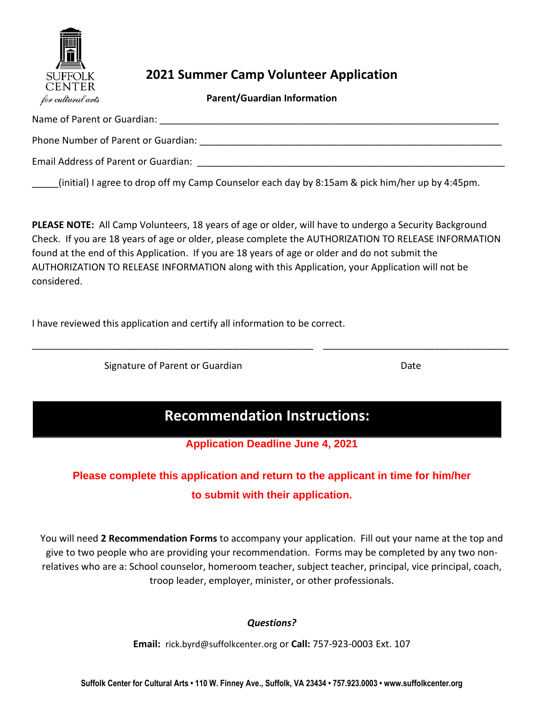

## **2021 Summer Camp Volunteer Application**

**Parent/Guardian Information**

| Name of Parent or Guardian:          |
|--------------------------------------|
| Phone Number of Parent or Guardian:  |
| Email Address of Parent or Guardian: |
|                                      |

\_\_\_\_\_(initial) I agree to drop off my Camp Counselor each day by 8:15am & pick him/her up by 4:45pm.

**PLEASE NOTE:** All Camp Volunteers, 18 years of age or older, will have to undergo a Security Background Check. If you are 18 years of age or older, please complete the AUTHORIZATION TO RELEASE INFORMATION found at the end of this Application. If you are 18 years of age or older and do not submit the AUTHORIZATION TO RELEASE INFORMATION along with this Application, your Application will not be considered.

I have reviewed this application and certify all information to be correct.

Signature of Parent or Guardian Date Date

# **Recommendation Instructions:**

\_\_\_\_\_\_\_\_\_\_\_\_\_\_\_\_\_\_\_\_\_\_\_\_\_\_\_\_\_\_\_\_\_\_\_\_\_\_\_\_\_\_\_\_\_\_\_\_\_\_\_\_\_ \_\_\_\_\_\_\_\_\_\_\_\_\_\_\_\_\_\_\_\_\_\_\_\_\_\_\_\_\_\_\_\_\_\_\_

**Application Deadline June 4, 2021**

# **Please complete this application and return to the applicant in time for him/her to submit with their application.**

You will need **2 Recommendation Forms** to accompany your application. Fill out your name at the top and give to two people who are providing your recommendation. Forms may be completed by any two nonrelatives who are a: School counselor, homeroom teacher, subject teacher, principal, vice principal, coach, troop leader, employer, minister, or other professionals.

### *Questions?*

**Email:** rick.byrd@suffolkcenter.org or **Call:** 757-923-0003 Ext. 107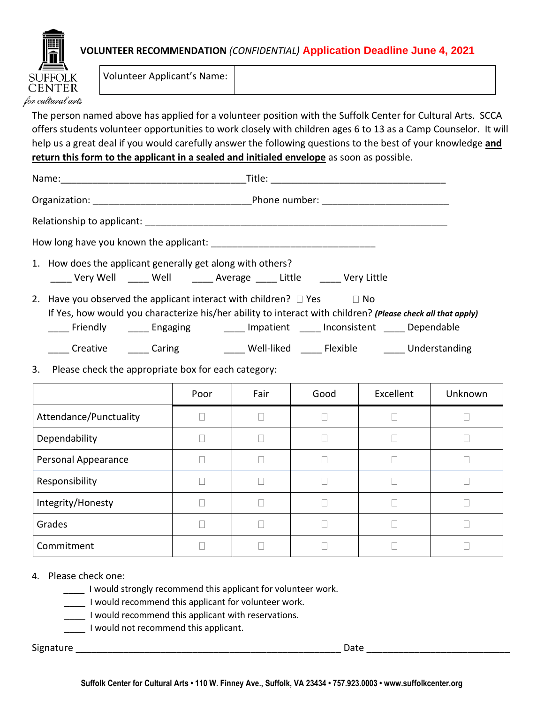

### **VOLUNTEER RECOMMENDATION** *(CONFIDENTIAL)* **Application Deadline June 4, 2021**

Volunteer Applicant's Name:

The person named above has applied for a volunteer position with the Suffolk Center for Cultural Arts. SCCA offers students volunteer opportunities to work closely with children ages 6 to 13 as a Camp Counselor. It will help us a great deal if you would carefully answer the following questions to the best of your knowledge **and return this form to the applicant in a sealed and initialed envelope** as soon as possible.

| 1. How does the applicant generally get along with others?<br>_____ Very Well _____ Well ______ Average _____ Little ______ Very Little                                                                                                                                           |  |
|-----------------------------------------------------------------------------------------------------------------------------------------------------------------------------------------------------------------------------------------------------------------------------------|--|
| 2. Have you observed the applicant interact with children? $\Box$ Yes $\Box$ No<br>If Yes, how would you characterize his/her ability to interact with children? (Please check all that apply)<br>____ Friendly _____ Engaging ______ Impatient ____ Inconsistent ____ Dependable |  |
| ____ Well-liked _____ Flexible ______ Understanding<br>_____ Creative ______ Caring                                                                                                                                                                                               |  |

3. Please check the appropriate box for each category:

|                        | Poor | Fair | Good | Excellent | Unknown |
|------------------------|------|------|------|-----------|---------|
| Attendance/Punctuality |      |      |      |           |         |
| Dependability          |      |      |      |           |         |
| Personal Appearance    |      |      |      |           |         |
| Responsibility         |      |      |      |           |         |
| Integrity/Honesty      |      |      |      |           |         |
| Grades                 |      |      |      |           |         |
| Commitment             |      |      |      |           |         |

#### 4. Please check one:

- I would strongly recommend this applicant for volunteer work.
- \_\_\_\_ I would recommend this applicant for volunteer work.
- \_\_\_\_ I would recommend this applicant with reservations.
- \_\_\_\_ I would not recommend this applicant.

Signature \_\_\_\_\_\_\_\_\_\_\_\_\_\_\_\_\_\_\_\_\_\_\_\_\_\_\_\_\_\_\_\_\_\_\_\_\_\_\_\_\_\_\_\_\_\_\_\_\_\_ Date \_\_\_\_\_\_\_\_\_\_\_\_\_\_\_\_\_\_\_\_\_\_\_\_\_\_\_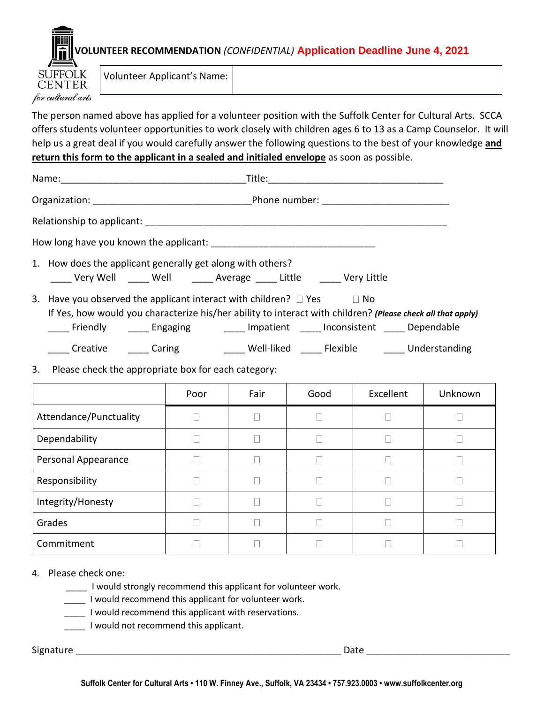

Volunteer Applicant's Name:

The person named above has applied for a volunteer position with the Suffolk Center for Cultural Arts. SCCA offers students volunteer opportunities to work closely with children ages 6 to 13 as a Camp Counselor. It will help us a great deal if you would carefully answer the following questions to the best of your knowledge **and return this form to the applicant in a sealed and initialed envelope** as soon as possible.

| 1. How does the applicant generally get along with others?<br>____ Very Well _____ Well ______ Average _____ Little __ ____ Very Little                                                                                                                                                      |      |      |      |           |         |
|----------------------------------------------------------------------------------------------------------------------------------------------------------------------------------------------------------------------------------------------------------------------------------------------|------|------|------|-----------|---------|
| 3. Have you observed the applicant interact with children? $\Box$ Yes $\Box$ No<br>If Yes, how would you characterize his/her ability to interact with children? (Please check all that apply)<br>____ Friendly    _____ Engaging      _____ Impatient  _____ Inconsistent  _____ Dependable |      |      |      |           |         |
| _____ Creative   _____ Caring      _____ Well-liked  _____ Flexible    _____ Understanding                                                                                                                                                                                                   |      |      |      |           |         |
| Please check the appropriate box for each category:<br>3.                                                                                                                                                                                                                                    |      |      |      |           |         |
|                                                                                                                                                                                                                                                                                              | Poor | Fair | Good | Excellent | Unknown |
| Attendance/Punctuality                                                                                                                                                                                                                                                                       |      |      |      |           |         |
| Dependability                                                                                                                                                                                                                                                                                |      |      |      |           |         |

 $\Box$ 

 $\Box$ 

 $\Box$ 

 $\Box$ 

 $\Box$ 

 $\Box$ 

 $\Box$ 

 $\Box$ 

 $\Box$ 

 $\Box$ 

 $\Box$ 

 $\Box$ 

 $\Box$ 

 $\Box$ 

 $\Box$ 

 $\Box$ 

 $\Box$ 

 $\Box$ 

 $\Box$ 

 $\Box$ 

#### 4. Please check one:

Personal Appearance

Responsibility

**CENTER** for cultural arts

Commitment

Grades

Integrity/Honesty

\_\_\_\_ I would strongly recommend this applicant for volunteer work.

 $\Box$ 

 $\Box$ 

 $\Box$ 

 $\Box$ 

 $\Box$ 

I would recommend this applicant for volunteer work.

I would recommend this applicant with reservations.

I would not recommend this applicant.

Signature **Example 20** and the set of the set of the set of the set of the set of the set of the set of the set of the set of the set of the set of the set of the set of the set of the set of the set of the set of the set